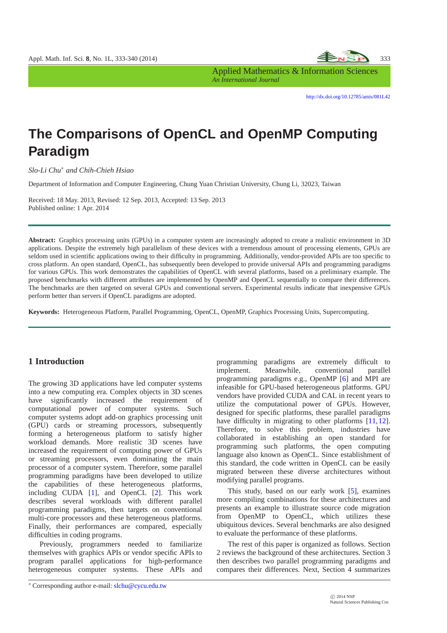

Applied Mathematics & Information Sciences *An International Journal*

<http://dx.doi.org/10.12785/amis/081L42>

# **The Comparisons of OpenCL and OpenMP Computing Paradigm**

*Slo-Li Chu*<sup>∗</sup> *and Chih-Chieh Hsiao*

Department of Information and Computer Engineering, Chung Yuan Christian University, Chung Li, 32023, Taiwan

Received: 18 May. 2013, Revised: 12 Sep. 2013, Accepted: 13 Sep. 2013 Published online: 1 Apr. 2014

**Abstract:** Graphics processing units (GPUs) in a computer system are increasingly adopted to create a realistic environment in 3D applications. Despite the extremely high parallelism of these devices with a tremendous amount of processing elements, GPUs are seldom used in scientific applications owing to their difficulty in programming. Additionally, vendor-provided APIs are too specific to cross platform. An open standard, OpenCL, has subsequently been developed to provide universal APIs and programming paradigms for various GPUs. This work demonstrates the capabilities of OpenCL with several platforms, based on a preliminary example. The proposed benchmarks with different attributes are implemented by OpenMP and OpenCL sequentially to compare their differences. The benchmarks are then targeted on several GPUs and conventional servers. Experimental results indicate that inexpensive GPUs perform better than servers if OpenCL paradigms are adopted.

**Keywords:** Heterogeneous Platform, Parallel Programming, OpenCL, OpenMP, Graphics Processing Units, Supercomputing.

# **1 Introduction**

The growing 3D applications have led computer systems into a new computing era. Complex objects in 3D scenes have significantly increased the requirement of computational power of computer systems. Such computer systems adopt add-on graphics processing unit (GPU) cards or streaming processors, subsequently forming a heterogeneous platform to satisfy higher workload demands. More realistic 3D scenes have increased the requirement of computing power of GPUs or streaming processors, even dominating the main processor of a computer system. Therefore, some parallel programming paradigms have been developed to utilize the capabilities of these heterogeneous platforms, including CUDA [\[1\]](#page-7-0), and OpenCL [\[2\]](#page-7-1). This work describes several workloads with different parallel programming paradigms, then targets on conventional multi-core processors and these heterogeneous platforms. Finally, their performances are compared, especially difficulties in coding programs.

Previously, programmers needed to familiarize themselves with graphics APIs or vendor specific APIs to program parallel applications for high-performance heterogeneous computer systems. These APIs and

programming paradigms are extremely difficult to implement. Meanwhile, conventional parallel programming paradigms e.g., OpenMP [\[6\]](#page-7-2) and MPI are infeasible for GPU-based heterogeneous platforms. GPU vendors have provided CUDA and CAL in recent years to utilize the computational power of GPUs. However, designed for specific platforms, these parallel paradigms have difficulty in migrating to other platforms [\[11,](#page-7-3)[12\]](#page-7-4). Therefore, to solve this problem, industries have collaborated in establishing an open standard for programming such platforms, the open computing language also known as OpenCL. Since establishment of this standard, the code written in OpenCL can be easily migrated between these diverse architectures without modifying parallel programs.

This study, based on our early work [\[5\]](#page-7-5), examines more compiling combinations for these architectures and presents an example to illustrate source code migration from OpenMP to OpenCL, which utilizes these ubiquitous devices. Several benchmarks are also designed to evaluate the performance of these platforms.

The rest of this paper is organized as follows. Section 2 reviews the background of these architectures. Section 3 then describes two parallel programming paradigms and compares their differences. Next, Section 4 summarizes

<sup>∗</sup> Corresponding author e-mail: slchu@cycu.edu.tw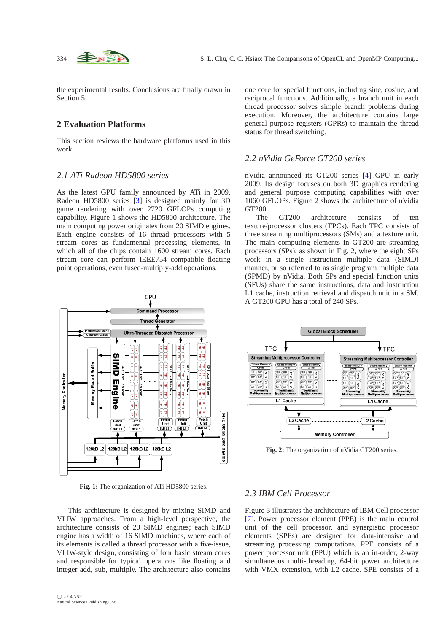the experimental results. Conclusions are finally drawn in Section 5.

## **2 Evaluation Platforms**

This section reviews the hardware platforms used in this work

## *2.1 ATi Radeon HD5800 series*

As the latest GPU family announced by ATi in 2009, Radeon HD5800 series [\[3\]](#page-7-6) is designed mainly for 3D game rendering with over 2720 GFLOPs computing capability. Figure 1 shows the HD5800 architecture. The main computing power originates from 20 SIMD engines. Each engine consists of 16 thread processors with 5 stream cores as fundamental processing elements, in which all of the chips contain 1600 stream cores. Each stream core can perform IEEE754 compatible floating point operations, even fused-multiply-add operations.

CPU ommand Processor **Thread Generator Ultra-Threaded** tch Processo – – 1  $-0$   $-0$ -1-11 1 /0 /0 /0 /0 -1-11 1  $\rightarrow$  0.000  $\rightarrow$  0.000  $\rightarrow$  0.000  $\rightarrow$ SIMD Engine - 1 - 1 1 - 1 /0 –1–11 **–**11 -11 -11-11 –1–11 <del>– 1</del> /0 /0 /0 -1-11 1  $\rightarrow$  0.000  $\rightarrow$  0.000  $\rightarrow$  0.000  $\rightarrow$  /0 **- 비디스 - 비즈니** → | → | | ω | ⊐اادة الت <sup>→</sup> I → I I ⇔ I  $\lnot$   $\lnot$   $\lnot$  -ا اما ڪ  $\cdots$   $-$  اا∸اا اددا مط →I→II⇔I ا ادءااا∸  $\cdots$ אווידוידו וא ויוויווט  $\sim$   $\sim$ אווידוד וא ו ו  /0 /0 ---- -# ----# \$ ----→ I → I I ⊊I →  $\overline{\phantom{0}}$  of  $\overline{\phantom{0}}$ \$ \$ \$ -1-1151 11 -1151 11-11 -11-11-51 -0151 115  $\sim$   $\sim$   $\sim$  -1-11-1 - 1151 - 1151 . . . . . . . . . . . . . % & . . . . . . . . . . . & 81 IU JU J ' ان '  $\sim$  100  $\sim$  100  $\sim$  100  $\sim$  100  $\sim$  . . . **o** I -11 - 1 -12  $\left\vert -\right\vert$   $\mathbf{E}$ – 150 – 150 – 151 – ، ، ، ۱۰  $\sim$   $\sim$   $\sim$   $\sim$   $\sim$   $\sim$  $\sim$  1 -1-1121 /0 . . . . /0 /0 . . . -11-11-21 **- 이 그 정도** = 12.1 11 /0 . . . . /0 /0 **o** I \*'+ ا|ت-||تا||¤ \*'+ \*'+ \*'+ , --~ -- - - - ---,  $\sim$  1 . . . . ' -1-1151 /0 . . . . . . -1-1151 -001 -001 -001 -001 -00 -. . . . -11-1151 -1151 115 -. . -.  $\cdot$ l 2 **. .** . . . . . . . . -1-1151 /0 -. . . -. Ē - 1- 11 11 11 11 1 /0 -----911 11 11 11 ----/0 /0 /0 /0 /0 ----/0 ------------/0 -1-11 1 -11 1 11 11 11 11 11 11 11 /0 /0 /0 /0 128kB L2 128kB L2 128kB L2 128kB L2

**Fig. 1:** The organization of ATi HD5800 series.

This architecture is designed by mixing SIMD and VLIW approaches. From a high-level perspective, the architecture consists of 20 SIMD engines; each SIMD engine has a width of 16 SIMD machines, where each of its elements is called a thread processor with a five-issue, VLIW-style design, consisting of four basic stream cores and responsible for typical operations like floating and integer add, sub, multiply. The architecture also contains one core for special functions, including sine, cosine, and reciprocal functions. Additionally, a branch unit in each thread processor solves simple branch problems during execution. Moreover, the architecture contains large general purpose registers (GPRs) to maintain the thread status for thread switching.

#### *2.2 nVidia GeForce GT200 series*

nVidia announced its GT200 series [\[4\]](#page-7-7) GPU in early 2009. Its design focuses on both 3D graphics rendering and general purpose computing capabilities with over 1060 GFLOPs. Figure 2 shows the architecture of nVidia GT200.

The GT200 architecture consists of ten texture/processor clusters (TPCs). Each TPC consists of three streaming multiprocessors (SMs) and a texture unit. The main computing elements in GT200 are streaming processors (SPs), as shown in Fig. 2, where the eight SPs work in a single instruction multiple data (SIMD) manner, or so referred to as single program multiple data (SPMD) by nVidia. Both SPs and special function units (SFUs) share the same instructions, data and instruction L1 cache, instruction retrieval and dispatch unit in a SM. A GT200 GPU has a total of 240 SPs.



**Fig. 2:** The organization of nVidia GT200 series.

#### *2.3 IBM Cell Processor*

Figure 3 illustrates the architecture of IBM Cell processor [\[7\]](#page-7-8). Power processor element (PPE) is the main control unit of the cell processor, and synergistic processor elements (SPEs) are designed for data-intensive and streaming processing computations. PPE consists of a power processor unit (PPU) which is an in-order, 2-way simultaneous multi-threading, 64-bit power architecture with VMX extension, with L2 cache. SPE consists of a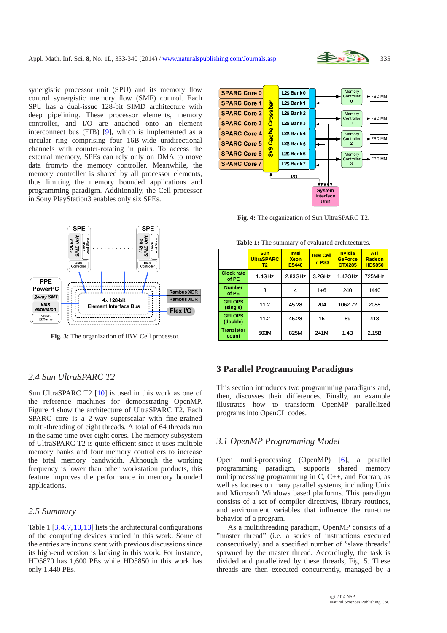

synergistic processor unit (SPU) and its memory flow control synergistic memory flow (SMF) control. Each SPU has a dual-issue 128-bit SIMD architecture with deep pipelining. These processor elements, memory controller, and I/O are attached onto an element interconnect bus (EIB) [\[9\]](#page-7-9), which is implemented as a circular ring comprising four 16B-wide unidirectional channels with counter-rotating in pairs. To access the external memory, SPEs can rely only on DMA to move data from/to the memory controller. Meanwhile, the memory controller is shared by all processor elements, thus limiting the memory bounded applications and programming paradigm. Additionally, the Cell processor in Sony PlayStation3 enables only six SPEs.



**Fig. 3:** The organization of IBM Cell processor.

# *2.4 Sun UltraSPARC T2*

Sun UltraSPARC T2 [\[10\]](#page-7-10) is used in this work as one of the reference machines for demonstrating OpenMP. Figure 4 show the architecture of UltraSPARC T2. Each SPARC core is a 2-way superscalar with fine-grained multi-threading of eight threads. A total of 64 threads run in the same time over eight cores. The memory subsystem of UltraSPARC T2 is quite efficient since it uses multiple memory banks and four memory controllers to increase the total memory bandwidth. Although the working frequency is lower than other workstation products, this feature improves the performance in memory bounded applications.

## *2.5 Summary*

Table 1 [\[3,](#page-7-6)[4,](#page-7-7)[7,](#page-7-8)[10,](#page-7-10)[13\]](#page-7-11) lists the architectural configurations of the computing devices studied in this work. Some of the entries are inconsistent with previous discussions since its high-end version is lacking in this work. For instance, HD5870 has 1,600 PEs while HD5850 in this work has only 1,440 PEs.



**Fig. 4:** The organization of Sun UltraSPARC T2.

|                            | <b>Sun</b><br><b>UltraSPARC</b><br>T2 | <b>Intel</b><br><b>Xeon</b><br>E5440 | <b>IBM Cell</b><br>in PS3 | nVidia<br><b>GeForce</b><br><b>GTX285</b> | ATi<br>Radeon<br><b>HD5850</b> |
|----------------------------|---------------------------------------|--------------------------------------|---------------------------|-------------------------------------------|--------------------------------|
| <b>Clock rate</b><br>of PE | 1.4GHz                                | 2.83GHz                              | 3.2GHz                    | 1.47GHz                                   | 725MHz                         |
| <b>Number</b><br>of PE     | 8                                     | 4                                    | $1 + 6$                   | 240                                       | 1440                           |
| <b>GFLOPS</b><br>(single)  | 11.2                                  | 45.28                                | 204                       | 1062.72                                   | 2088                           |
| <b>GFLOPS</b><br>(double)  | 11.2                                  | 45.28                                | 15                        | 89                                        | 418                            |
| <b>Transistor</b><br>count | 503M                                  | 825M                                 | 241M                      | 1.4B                                      | 2.15B                          |

**Table 1:** The summary of evaluated architectures.

# **3 Parallel Programming Paradigms**

This section introduces two programming paradigms and, then, discusses their differences. Finally, an example illustrates how to transform OpenMP parallelized programs into OpenCL codes.

## *3.1 OpenMP Programming Model*

Open multi-processing (OpenMP) [\[6\]](#page-7-2), a parallel programming paradigm, supports shared memory multiprocessing programming in C, C++, and Fortran, as well as focuses on many parallel systems, including Unix and Microsoft Windows based platforms. This paradigm consists of a set of compiler directives, library routines, and environment variables that influence the run-time behavior of a program.

As a multithreading paradigm, OpenMP consists of a "master thread" (i.e. a series of instructions executed consecutively) and a specified number of "slave threads" spawned by the master thread. Accordingly, the task is divided and parallelized by these threads, Fig. 5. These threads are then executed concurrently, managed by a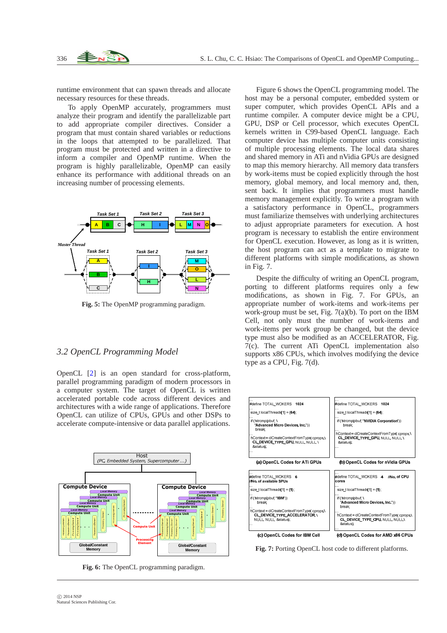runtime environment that can spawn threads and allocate necessary resources for these threads.

To apply OpenMP accurately, programmers must analyze their program and identify the parallelizable part to add appropriate compiler directives. Consider a program that must contain shared variables or reductions in the loops that attempted to be parallelized. That program must be protected and written in a directive to inform a compiler and OpenMP runtime. When the program is highly parallelizable, OpenMP can easily enhance its performance with additional threads on an increasing number of processing elements.



**Fig. 5:** The OpenMP programming paradigm.

#### *3.2 OpenCL Programming Model*

OpenCL [\[2\]](#page-7-1) is an open standard for cross-platform, parallel programming paradigm of modern processors in a computer system. The target of OpenCL is written accelerated portable code across different devices and architectures with a wide range of applications. Therefore OpenCL can utilize of CPUs, GPUs and other DSPs to accelerate compute-intensive or data parallel applications.



**Fig. 6:** The OpenCL programming paradigm.

Figure 6 shows the OpenCL programming model. The host may be a personal computer, embedded system or super computer, which provides OpenCL APIs and a runtime compiler. A computer device might be a CPU, GPU, DSP or Cell processor, which executes OpenCL kernels written in C99-based OpenCL language. Each computer device has multiple computer units consisting of multiple processing elements. The local data shares and shared memory in ATi and nVidia GPUs are designed to map this memory hierarchy. All memory data transfers by work-items must be copied explicitly through the host memory, global memory, and local memory and, then, sent back. It implies that programmers must handle memory management explicitly. To write a program with a satisfactory performance in OpenCL, programmers must familiarize themselves with underlying architectures to adjust appropriate parameters for execution. A host program is necessary to establish the entire environment for OpenCL execution. However, as long as it is written, the host program can act as a template to migrate to different platforms with simple modifications, as shown in Fig. 7.

Despite the difficulty of writing an OpenCL program, porting to different platforms requires only a few modifications, as shown in Fig. 7. For GPUs, an appropriate number of work-items and work-items per work-group must be set, Fig.  $7(a)(b)$ . To port on the IBM Cell, not only must the number of work-items and work-items per work group be changed, but the device type must also be modified as an ACCELERATOR, Fig. 7(c). The current ATi OpenCL implementation also supports x86 CPUs, which involves modifying the device type as a CPU, Fig. 7(d).



**Fig. 7:** Porting OpenCL host code to different platforms.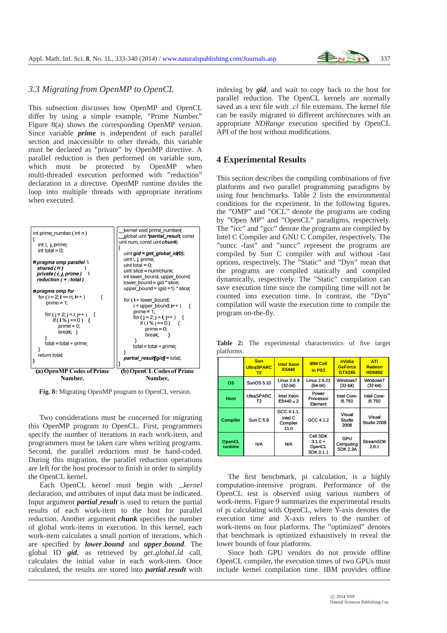

# *3.3 Migrating from OpenMP to OpenCL*

This subsection discusses how OpenMP and OpenCL differ by using a simple example, "Prime Number." Figure 8(a) shows the corresponding OpenMP version. Since variable *prime* is independent of each parallel section and inaccessible to other threads, this variable must be declared as "private" by OpenMP directive. A parallel reduction is then performed on variable sum, which must be protected by OpenMP when multi-threaded execution performed with "reduction" declaration in a directive. OpenMP runtime divides the loop into multiple threads with appropriate iterations when executed.



**Fig. 8:** Migrating OpenMP program to OpenCL version.

Two considerations must be concerned for migrating this OpenMP program to OpenCL. First, programmers specify the number of iterations in each work-item, and programmers must be taken care when writing programs. Second, the parallel reductions must be hand-coded. During this migration, the parallel reduction operations are left for the host processor to finish in order to simplify the OpenCL kernel.

Each OpenCL kernel must begin with *\_kernel* declaration, and attributes of input data must be indicated. Input argument *partial result* is used to return the partial results of each work-item to the host for parallel reduction. Another argument *chunk* specifies the number of global work-items in execution. In this kernel, each work-item calculates a small portion of iterations, which are specified by *lower bound* and *upper bound*. The global ID *gid*, as retrieved by *get global id* call, calculates the initial value in each work-item. Once calculated, the results are stored into *partial result* with

indexing by *gid*, and wait to copy back to the host for parallel reduction. The OpenCL kernels are normally saved as a text file with .*cl* file extension. The kernel file can be easily migrated to different architectures with an appropriate *NDRange* execution specified by OpenCL API of the host without modifications.

#### **4 Experimental Results**

This section describes the compiling combinations of five platforms and two parallel programming paradigms by using four benchmarks. Table 2 lists the environmental conditions for the experiment. In the following figures, the "OMP" and "OCL" denote the programs are coding by "Open MP" and "OpenCL" paradigms, respectively. The "icc" and "gcc" denote the programs are compiled by Intel C Compiler and GNU C Compiler, respectively. The "suncc -fast" and "suncc" represent the programs are compiled by Sun C compiler with and without -fast options, respectively. The "Static" and "Dyn" mean that the programs are compiled statically and compiled dynamically, respectively. The "Static" compilation can save execution time since the compiling time will not be counted into execution time. In contrast, the "Dyn" compilation will waste the execution time to compile the program on-the-fly.

**Table 2:** The experimental characteristics of five target platforms.

|                          | <b>Sun</b><br><b>UltraSPARC</b><br>T2 | <b>Intel Xeon</b><br>E5440                | <b>IBM Cell</b><br>in PS3                    | nVidia<br><b>GeForce</b><br>GTX285  | <b>ATi</b><br>Radeon<br><b>HD5850</b> |
|--------------------------|---------------------------------------|-------------------------------------------|----------------------------------------------|-------------------------------------|---------------------------------------|
| <b>OS</b>                | SunOS 5.10                            | Linux 2.6.9<br>$(32-bit)$                 | Linux 2.6.21<br>(64-bit)                     | Windows7<br>$(32-bit)$              | Windows7<br>$(32-bit)$                |
| <b>Host</b>              | <b>UltraSPARC</b><br>T <sub>2</sub>   | Intel Xeon<br>E5440 x 2                   | Power<br>Processor<br>Element                | Intel Core-<br>i5 750               | Intel Core-<br>i5 750                 |
| <b>Compiler</b>          | Sun C 5.9                             | GCC 4.1.1.<br>Intel C<br>Compiler<br>11.0 | GCC 4.1.2                                    | Visual<br>Studio<br>2008            | Visual<br>Studio 2008                 |
| <b>OpenCL</b><br>runtime | <b>N/A</b>                            | N/A                                       | Cell SDK<br>$3.1.0 +$<br>OpenCL<br>SDK 0.1.1 | GPU<br>Computing<br><b>SDK 2.3A</b> | <b>StreamSDK</b><br>2.0.1             |

The first benchmark, pi calculation, is a highly computation-intensive program. Performance of the OpenCL test is observed using various numbers of work-items. Figure 9 summarizes the experimental results of pi calculating with OpenCL, where Y-axis denotes the execution time and X-axis refers to the number of work-items on four platforms. The "optimized" denotes that benchmark is optimized exhaustively to reveal the lower bounds of four platforms.

Since both GPU vendors do not provide offline OpenCL compiler, the execution times of two GPUs must include kernel compilation time. IBM provides offline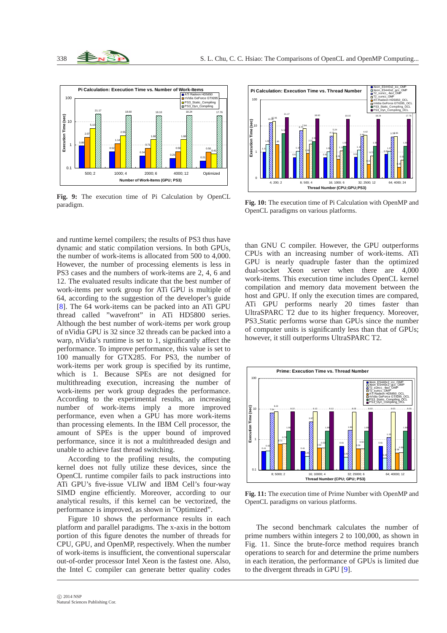

**Fig. 9:** The execution time of Pi Calculation by OpenCL paradigm.

and runtime kernel compilers; the results of PS3 thus have dynamic and static compilation versions. In both GPUs, the number of work-items is allocated from 500 to 4,000. However, the number of processing elements is less in PS3 cases and the numbers of work-items are 2, 4, 6 and 12. The evaluated results indicate that the best number of work-items per work group for ATi GPU is multiple of 64, according to the suggestion of the developer's guide [\[8\]](#page-7-12). The 64 work-items can be packed into an ATi GPU thread called "wavefront" in ATi HD5800 series. Although the best number of work-items per work group of nVidia GPU is 32 since 32 threads can be packed into a warp, nVidia's runtime is set to 1, significantly affect the performance. To improve performance, this value is set to 100 manually for GTX285. For PS3, the number of work-items per work group is specified by its runtime, which is 1. Because SPEs are not designed for multithreading execution, increasing the number of work-items per work group degrades the performance. According to the experimental results, an increasing number of work-items imply a more improved performance, even when a GPU has more work-items than processing elements. In the IBM Cell processor, the amount of SPEs is the upper bound of improved performance, since it is not a multithreaded design and unable to achieve fast thread switching.

According to the profiling results, the computing kernel does not fully utilize these devices, since the OpenCL runtime compiler fails to pack instructions into ATi GPU's five-issue VLIW and IBM Cell's four-way SIMD engine efficiently. Moreover, according to our analytical results, if this kernel can be vectorized, the performance is improved, as shown in "Optimized".

Figure 10 shows the performance results in each platform and parallel paradigms. The x-axis in the bottom portion of this figure denotes the number of threads for CPU, GPU, and OpenMP, respectively. When the number of work-items is insufficient, the conventional superscalar out-of-order processor Intel Xeon is the fastest one. Also, the Intel C compiler can generate better quality codes



**Fig. 10:** The execution time of Pi Calculation with OpenMP and OpenCL paradigms on various platforms.

than GNU C compiler. However, the GPU outperforms CPUs with an increasing number of work-items. ATi GPU is nearly quadruple faster than the optimized dual-socket Xeon server when there are 4,000 work-items. This execution time includes OpenCL kernel compilation and memory data movement between the host and GPU. If only the execution times are compared, ATi GPU performs nearly 20 times faster than UltraSPARC T2 due to its higher frequency. Moreover, PS3 Static performs worse than GPUs since the number of computer units is significantly less than that of GPUs; however, it still outperforms UltraSPARC T2.



**Fig. 11:** The execution time of Prime Number with OpenMP and OpenCL paradigms on various platforms.

The second benchmark calculates the number of prime numbers within integers 2 to 100,000, as shown in Fig. 11. Since the brute-force method requires branch operations to search for and determine the prime numbers in each iteration, the performance of GPUs is limited due to the divergent threads in GPU [\[9\]](#page-7-9).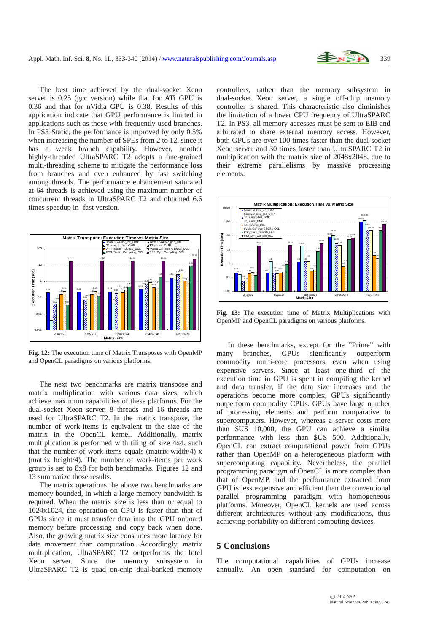

The best time achieved by the dual-socket Xeon server is 0.25 (gcc version) while that for ATi GPU is 0.36 and that for nVidia GPU is 0.38. Results of this application indicate that GPU performance is limited in applications such as those with frequently used branches. In PS3 Static, the performance is improved by only 0.5% when increasing the number of SPEs from 2 to 12, since it has a weak branch capability. However, another highly-threaded UltraSPARC T2 adopts a fine-grained multi-threading scheme to mitigate the performance loss from branches and even enhanced by fast switching among threads. The performance enhancement saturated at 64 threads is achieved using the maximum number of concurrent threads in UltraSPARC T2 and obtained 6.6 times speedup in -fast version.



**Fig. 12:** The execution time of Matrix Transposes with OpenMP and OpenCL paradigms on various platforms.

The next two benchmarks are matrix transpose and matrix multiplication with various data sizes, which achieve maximum capabilities of these platforms. For the dual-socket Xeon server, 8 threads and 16 threads are used for UltraSPARC T2. In the matrix transpose, the number of work-items is equivalent to the size of the matrix in the OpenCL kernel. Additionally, matrix multiplication is performed with tiling of size 4x4, such that the number of work-items equals (matrix width/4)  $x$ (matrix height/4). The number of work-items per work group is set to 8x8 for both benchmarks. Figures 12 and 13 summarize those results.

The matrix operations the above two benchmarks are memory bounded, in which a large memory bandwidth is required. When the matrix size is less than or equal to 1024x1024, the operation on CPU is faster than that of GPUs since it must transfer data into the GPU onboard memory before processing and copy back when done. Also, the growing matrix size consumes more latency for data movement than computation. Accordingly, matrix multiplication, UltraSPARC T2 outperforms the Intel Xeon server. Since the memory subsystem in UltraSPARC T2 is quad on-chip dual-banked memory

controllers, rather than the memory subsystem in dual-socket Xeon server, a single off-chip memory controller is shared. This characteristic also diminishes the limitation of a lower CPU frequency of UltraSPARC T2. In PS3, all memory accesses must be sent to EIB and arbitrated to share external memory access. However, both GPUs are over 100 times faster than the dual-socket Xeon server and 30 times faster than UltraSPARC T2 in multiplication with the matrix size of 2048x2048, due to their extreme parallelisms by massive processing elements.



**Fig. 13:** The execution time of Matrix Multiplications with OpenMP and OpenCL paradigms on various platforms.

In these benchmarks, except for the "Prime" with many branches, GPUs significantly outperform commodity multi-core processors, even when using expensive servers. Since at least one-third of the execution time in GPU is spent in compiling the kernel and data transfer, if the data size increases and the operations become more complex, GPUs significantly outperform commodity CPUs. GPUs have large number of processing elements and perform comparative to supercomputers. However, whereas a server costs more than \$US 10,000, the GPU can achieve a similar performance with less than \$US 500. Additionally, OpenCL can extract computational power from GPUs rather than OpenMP on a heterogeneous platform with supercomputing capability. Nevertheless, the parallel programming paradigm of OpenCL is more complex than that of OpenMP, and the performance extracted from GPU is less expensive and efficient than the conventional parallel programming paradigm with homogeneous platforms. Moreover, OpenCL kernels are used across different architectures without any modifications, thus achieving portability on different computing devices.

## **5 Conclusions**

The computational capabilities of GPUs increase annually. An open standard for computation on